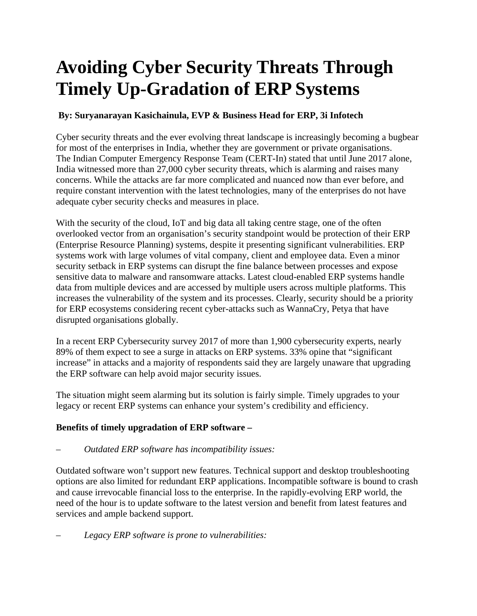## **Avoiding Cyber Security Threats Through Timely Up-Gradation of ERP Systems**

## **By: Suryanarayan Kasichainula, EVP & Business Head for ERP, 3i Infotech**

Cyber security threats and the ever evolving threat landscape is increasingly becoming a bugbear for most of the enterprises in India, whether they are government or private organisations. The Indian Computer Emergency Response Team (CERT-In) stated that until June 2017 alone, India witnessed more than 27,000 cyber security threats, which is alarming and raises many concerns. While the attacks are far more complicated and nuanced now than ever before, and require constant intervention with the latest technologies, many of the enterprises do not have adequate cyber security checks and measures in place.

With the security of the cloud, IoT and big data all taking centre stage, one of the often overlooked vector from an organisation's security standpoint would be protection of their ERP (Enterprise Resource Planning) systems, despite it presenting significant vulnerabilities. ERP systems work with large volumes of vital company, client and employee data. Even a minor security setback in ERP systems can disrupt the fine balance between processes and expose sensitive data to malware and ransomware attacks. Latest cloud-enabled ERP systems handle data from multiple devices and are accessed by multiple users across multiple platforms. This increases the vulnerability of the system and its processes. Clearly, security should be a priority for ERP ecosystems considering recent cyber-attacks such as WannaCry, Petya that have disrupted organisations globally.

In a recent ERP Cybersecurity survey 2017 of more than 1,900 cybersecurity experts, nearly 89% of them expect to see a surge in attacks on ERP systems. 33% opine that "significant increase" in attacks and a majority of respondents said they are largely unaware that upgrading the ERP software can help avoid major security issues.

The situation might seem alarming but its solution is fairly simple. Timely upgrades to your legacy or recent ERP systems can enhance your system's credibility and efficiency.

## **Benefits of timely upgradation of ERP software –**

– *Outdated ERP software has incompatibility issues:*

Outdated software won't support new features. Technical support and desktop troubleshooting options are also limited for redundant ERP applications. Incompatible software is bound to crash and cause irrevocable financial loss to the enterprise. In the rapidly-evolving ERP world, the need of the hour is to update software to the latest version and benefit from latest features and services and ample backend support.

– *Legacy ERP software is prone to vulnerabilities:*